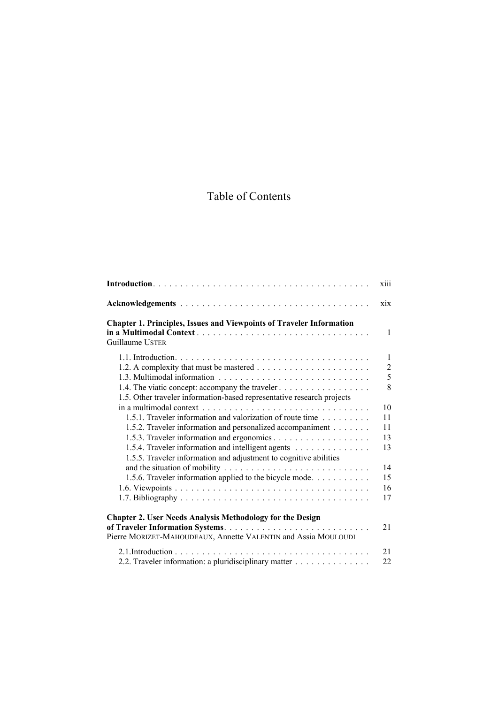## Table of Contents

|                                                                                                | <b>X111</b>    |
|------------------------------------------------------------------------------------------------|----------------|
|                                                                                                | xix            |
| <b>Chapter 1. Principles, Issues and Viewpoints of Traveler Information</b><br>Guillaume USTER | $\mathbf{1}$   |
|                                                                                                |                |
|                                                                                                | $\mathbf{1}$   |
|                                                                                                | $\overline{2}$ |
|                                                                                                | 5              |
| 1.4. The viatic concept: accompany the traveler                                                | 8              |
| 1.5. Other traveler information-based representative research projects                         |                |
|                                                                                                | 10             |
| 1.5.1. Traveler information and valorization of route time                                     | 11             |
| 1.5.2. Traveler information and personalized accompaniment                                     | 11             |
|                                                                                                | 13             |
| 1.5.4. Traveler information and intelligent agents                                             | 13             |
| 1.5.5. Traveler information and adjustment to cognitive abilities                              |                |
|                                                                                                | 14             |
| 1.5.6. Traveler information applied to the bicycle mode                                        | 15             |
|                                                                                                | 16             |
|                                                                                                | 17             |
| <b>Chapter 2. User Needs Analysis Methodology for the Design</b>                               |                |
|                                                                                                | 21             |
| Pierre MORIZET-MAHOUDEAUX, Annette VALENTIN and Assia MOULOUDI                                 |                |
|                                                                                                | 21             |
| 2.2. Traveler information: a pluridisciplinary matter                                          | 22             |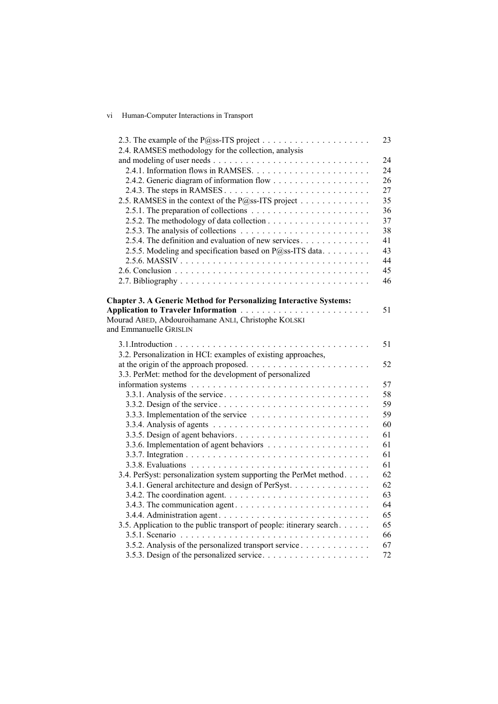## vi Human-Computer Interactions in Transport

|                                                                                          | 23 |
|------------------------------------------------------------------------------------------|----|
| 2.4. RAMSES methodology for the collection, analysis                                     |    |
|                                                                                          | 24 |
|                                                                                          | 24 |
|                                                                                          | 26 |
|                                                                                          | 27 |
| 2.5. RAMSES in the context of the P@ss-ITS project                                       | 35 |
| 2.5.1. The preparation of collections $\ldots \ldots \ldots \ldots \ldots \ldots \ldots$ | 36 |
|                                                                                          | 37 |
| 2.5.3. The analysis of collections $\ldots \ldots \ldots \ldots \ldots \ldots \ldots$    | 38 |
| 2.5.4. The definition and evaluation of new services                                     | 41 |
| 2.5.5. Modeling and specification based on P@ss-ITS data                                 | 43 |
|                                                                                          | 44 |
|                                                                                          | 45 |
|                                                                                          | 46 |
|                                                                                          |    |
| <b>Chapter 3. A Generic Method for Personalizing Interactive Systems:</b>                |    |
|                                                                                          | 51 |
| Mourad ABED, Abdouroihamane ANLI, Christophe KOLSKI                                      |    |
| and Emmanuelle GRISLIN                                                                   |    |
|                                                                                          |    |
|                                                                                          | 51 |
| 3.2. Personalization in HCI: examples of existing approaches,                            |    |
| at the origin of the approach proposed                                                   | 52 |
| 3.3. PerMet: method for the development of personalized                                  |    |
|                                                                                          | 57 |
|                                                                                          | 58 |
|                                                                                          | 59 |
|                                                                                          | 59 |
|                                                                                          | 60 |
|                                                                                          | 61 |
|                                                                                          | 61 |
|                                                                                          | 61 |
|                                                                                          | 61 |
| 3.4. PerSyst: personalization system supporting the PerMet method.                       | 62 |
| 3.4.1. General architecture and design of PerSyst.                                       | 62 |
|                                                                                          | 63 |
|                                                                                          | 64 |
|                                                                                          | 65 |
| 3.5. Application to the public transport of people: itinerary search                     | 65 |
|                                                                                          | 66 |
| 3.5.2. Analysis of the personalized transport service                                    | 67 |
|                                                                                          | 72 |
|                                                                                          |    |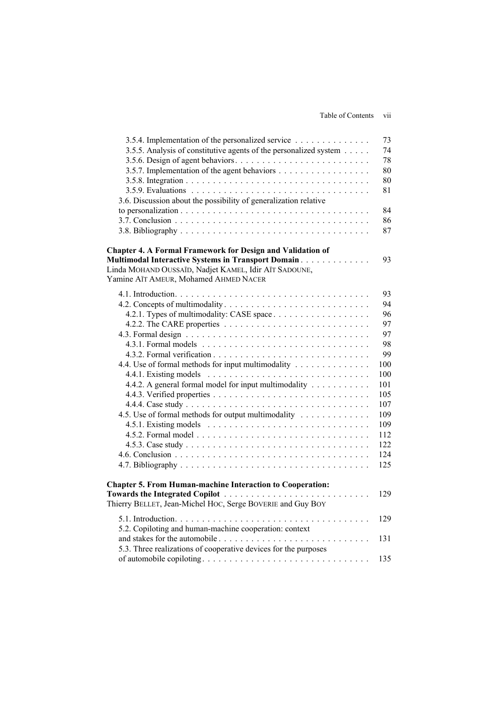| 3.5.4. Implementation of the personalized service                             | 73  |
|-------------------------------------------------------------------------------|-----|
| 3.5.5. Analysis of constitutive agents of the personalized system             | 74  |
|                                                                               | 78  |
| 3.5.7. Implementation of the agent behaviors                                  | 80  |
|                                                                               | 80  |
|                                                                               | 81  |
| 3.6. Discussion about the possibility of generalization relative              |     |
|                                                                               | 84  |
|                                                                               | 86  |
|                                                                               | 87  |
| <b>Chapter 4. A Formal Framework for Design and Validation of</b>             |     |
| <b>Multimodal Interactive Systems in Transport Domain Actual Library 19th</b> | 93  |
| Linda MOHAND OUSSAÏD, Nadjet KAMEL, Idir AÏT SADOUNE,                         |     |
| Yamine AÏT AMEUR, Mohamed AHMED NACER                                         |     |
|                                                                               | 93  |
|                                                                               | 94  |
| 4.2.1. Types of multimodality: CASE space                                     | 96  |
|                                                                               | 97  |
|                                                                               | 97  |
|                                                                               | 98  |
|                                                                               | 99  |
| 4.4. Use of formal methods for input multimodality                            | 100 |
|                                                                               | 100 |
| 4.4.2. A general formal model for input multimodality                         | 101 |
|                                                                               | 105 |
|                                                                               | 107 |
| 4.5. Use of formal methods for output multimodality                           | 109 |
|                                                                               | 109 |
|                                                                               | 112 |
|                                                                               | 122 |
|                                                                               | 124 |
|                                                                               | 125 |
|                                                                               |     |
| <b>Chapter 5. From Human-machine Interaction to Cooperation:</b>              |     |
| Towards the Integrated Copilot                                                | 129 |
| Thierry BELLET, Jean-Michel HOC, Serge BOVERIE and Guy BOY                    |     |
|                                                                               | 129 |
| 5.2. Copiloting and human-machine cooperation: context                        |     |
|                                                                               | 131 |
| 5.3. Three realizations of cooperative devices for the purposes               |     |
|                                                                               | 135 |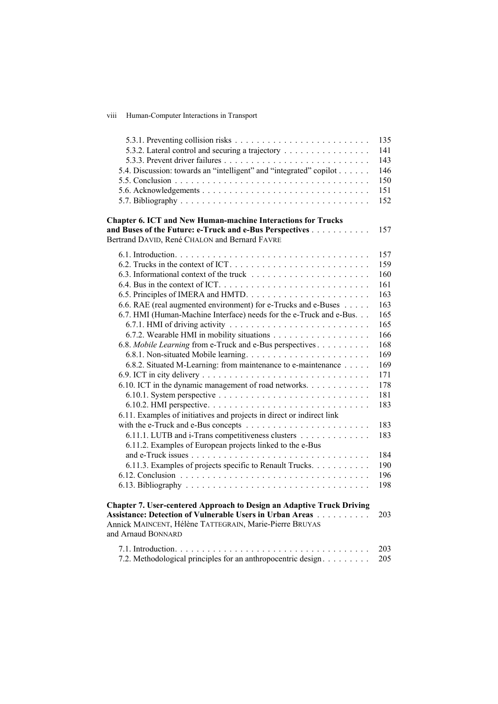viii Human-Computer Interactions in Transport

| 5.3.2. Lateral control and securing a trajectory<br>5.4. Discussion: towards an "intelligent" and "integrated" copilot                                                                                                                                                                                                                                                                                                                                                                                                                                                                                                                                                                                                                | 135<br>141<br>143<br>146<br>150<br>151<br>152                                                                                                                 |
|---------------------------------------------------------------------------------------------------------------------------------------------------------------------------------------------------------------------------------------------------------------------------------------------------------------------------------------------------------------------------------------------------------------------------------------------------------------------------------------------------------------------------------------------------------------------------------------------------------------------------------------------------------------------------------------------------------------------------------------|---------------------------------------------------------------------------------------------------------------------------------------------------------------|
| <b>Chapter 6. ICT and New Human-machine Interactions for Trucks</b><br>and Buses of the Future: e-Truck and e-Bus Perspectives<br>Bertrand DAVID, René CHALON and Bernard FAVRE                                                                                                                                                                                                                                                                                                                                                                                                                                                                                                                                                       | 157                                                                                                                                                           |
| 6.6. RAE (real augmented environment) for e-Trucks and e-Buses<br>6.7. HMI (Human-Machine Interface) needs for the e-Truck and e-Bus.<br>6.8. Mobile Learning from e-Truck and e-Bus perspectives<br>6.8.2. Situated M-Learning: from maintenance to e-maintenance<br>6.10. ICT in the dynamic management of road networks.<br>6.11. Examples of initiatives and projects in direct or indirect link<br>6.11.1. LUTB and i-Trans competitiveness clusters<br>6.11.2. Examples of European projects linked to the e-Bus<br>6.11.3. Examples of projects specific to Renault Trucks.<br><b>Chapter 7. User-centered Approach to Design an Adaptive Truck Driving</b><br><b>Assistance: Detection of Vulnerable Users in Urban Areas</b> | 157<br>159<br>160<br>161<br>163<br>163<br>165<br>165<br>166<br>168<br>169<br>169<br>171<br>178<br>181<br>183<br>183<br>183<br>184<br>190<br>196<br>198<br>203 |
| Annick MAINCENT, Hélène TATTEGRAIN, Marie-Pierre BRUYAS<br>and Arnaud BONNARD                                                                                                                                                                                                                                                                                                                                                                                                                                                                                                                                                                                                                                                         | 203                                                                                                                                                           |
| 7.2. Methodological principles for an anthropocentric design                                                                                                                                                                                                                                                                                                                                                                                                                                                                                                                                                                                                                                                                          | 205                                                                                                                                                           |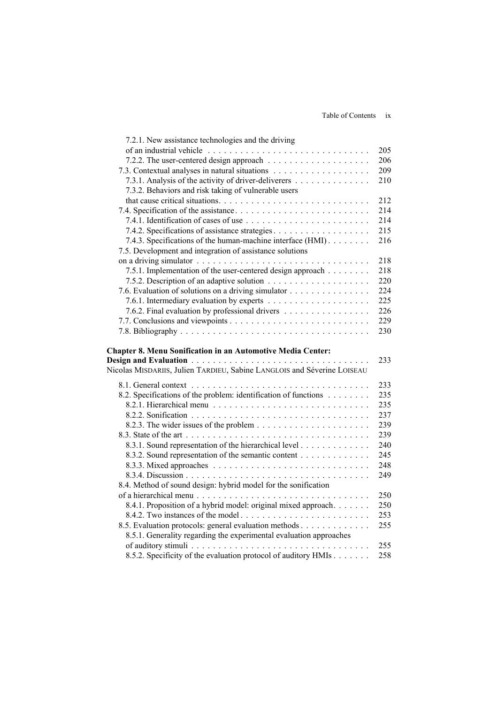| 7.2.1. New assistance technologies and the driving                                                                          |     |
|-----------------------------------------------------------------------------------------------------------------------------|-----|
|                                                                                                                             | 205 |
|                                                                                                                             | 206 |
|                                                                                                                             | 209 |
| 7.3.1. Analysis of the activity of driver-deliverers                                                                        | 210 |
| 7.3.2. Behaviors and risk taking of vulnerable users                                                                        |     |
|                                                                                                                             | 212 |
|                                                                                                                             | 214 |
|                                                                                                                             | 214 |
|                                                                                                                             | 215 |
| 7.4.3. Specifications of the human-machine interface (HMI).                                                                 | 216 |
| 7.5. Development and integration of assistance solutions                                                                    |     |
|                                                                                                                             | 218 |
| 7.5.1. Implementation of the user-centered design approach                                                                  | 218 |
|                                                                                                                             | 220 |
| 7.6. Evaluation of solutions on a driving simulator                                                                         | 224 |
|                                                                                                                             | 225 |
| 7.6.2. Final evaluation by professional drivers                                                                             | 226 |
|                                                                                                                             | 229 |
|                                                                                                                             | 230 |
|                                                                                                                             |     |
| <b>Chapter 8. Menu Sonification in an Automotive Media Center:</b>                                                          |     |
|                                                                                                                             |     |
|                                                                                                                             | 233 |
| Nicolas MISDARIIS, Julien TARDIEU, Sabine LANGLOIS and Séverine LOISEAU                                                     |     |
|                                                                                                                             | 233 |
| 8.2. Specifications of the problem: identification of functions                                                             | 235 |
|                                                                                                                             | 235 |
|                                                                                                                             | 237 |
|                                                                                                                             | 239 |
|                                                                                                                             | 239 |
| 8.3.1. Sound representation of the hierarchical level                                                                       | 240 |
| 8.3.2. Sound representation of the semantic content                                                                         | 245 |
|                                                                                                                             | 248 |
|                                                                                                                             | 249 |
| 8.4. Method of sound design: hybrid model for the sonification                                                              |     |
|                                                                                                                             | 250 |
| 8.4.1. Proposition of a hybrid model: original mixed approach.                                                              | 250 |
|                                                                                                                             | 253 |
| 8.5. Evaluation protocols: general evaluation methods<br>8.5.1. Generality regarding the experimental evaluation approaches | 255 |

of auditory stimuli . . . . . . . . . . . . . . . . . . . . . . . . . . . . . . . . . 255 8.5.2. Specificity of the evaluation protocol of auditory HMIs . . . . . . . 258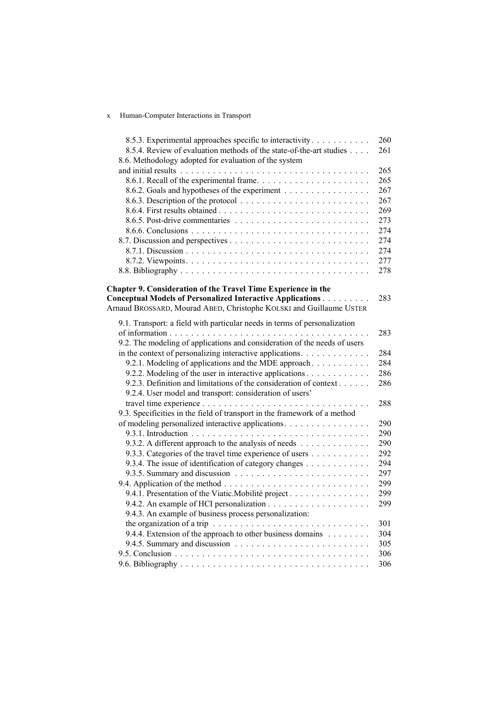## x Human-Computer Interactions in Transport

| 8.5.3. Experimental approaches specific to interactivity                                           | 260 |
|----------------------------------------------------------------------------------------------------|-----|
| 8.5.4. Review of evaluation methods of the state-of-the-art studies                                | 261 |
| 8.6. Methodology adopted for evaluation of the system                                              |     |
|                                                                                                    | 265 |
|                                                                                                    | 265 |
| 8.6.2. Goals and hypotheses of the experiment                                                      | 267 |
|                                                                                                    | 267 |
|                                                                                                    | 269 |
|                                                                                                    | 273 |
|                                                                                                    | 274 |
|                                                                                                    | 274 |
|                                                                                                    | 274 |
|                                                                                                    | 277 |
|                                                                                                    | 278 |
|                                                                                                    |     |
| Chapter 9. Consideration of the Travel Time Experience in the                                      |     |
| Conceptual Models of Personalized Interactive Applications                                         | 283 |
| Arnaud BROSSARD, Mourad ABED, Christophe KOLSKI and Guillaume USTER                                |     |
| 9.1. Transport: a field with particular needs in terms of personalization                          |     |
|                                                                                                    | 283 |
| 9.2. The modeling of applications and consideration of the needs of users                          |     |
| in the context of personalizing interactive applications.                                          | 284 |
| 9.2.1. Modeling of applications and the MDE approach.                                              | 284 |
| 9.2.2. Modeling of the user in interactive applications                                            | 286 |
| 9.2.3. Definition and limitations of the consideration of context                                  | 286 |
|                                                                                                    |     |
| 9.2.4. User model and transport: consideration of users'                                           |     |
|                                                                                                    | 288 |
| 9.3. Specificities in the field of transport in the framework of a method                          |     |
| of modeling personalized interactive applications.                                                 | 290 |
|                                                                                                    | 290 |
| 9.3.2. A different approach to the analysis of needs                                               | 290 |
| 9.3.3. Categories of the travel time experience of users                                           | 292 |
| 9.3.4. The issue of identification of category changes                                             | 294 |
|                                                                                                    | 297 |
|                                                                                                    | 299 |
| 9.4.1. Presentation of the Viatic. Mobilité project                                                | 299 |
|                                                                                                    | 299 |
| 9.4.3. An example of business process personalization:                                             |     |
| the organization of a trip $\ldots \ldots \ldots \ldots \ldots \ldots \ldots \ldots \ldots \ldots$ | 301 |
| 9.4.4. Extension of the approach to other business domains                                         | 304 |
|                                                                                                    | 305 |
|                                                                                                    | 306 |
|                                                                                                    | 306 |
|                                                                                                    |     |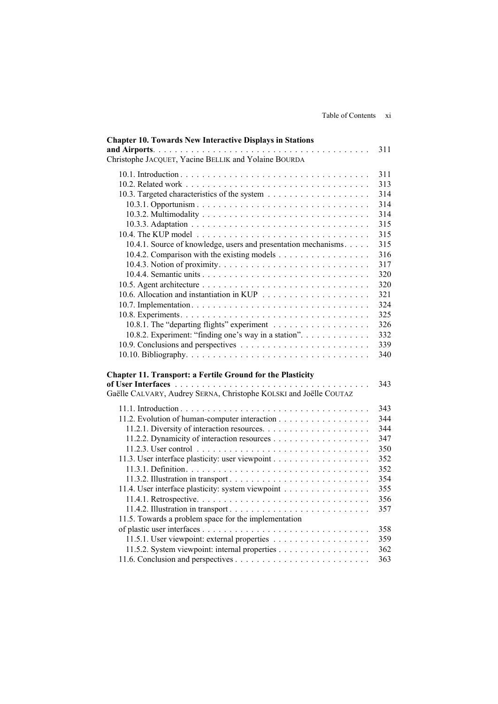| <b>Chapter 10. Towards New Interactive Displays in Stations</b><br>Christophe JACQUET, Yacine BELLIK and Yolaine BOURDA                | 311 |
|----------------------------------------------------------------------------------------------------------------------------------------|-----|
|                                                                                                                                        | 311 |
|                                                                                                                                        | 313 |
|                                                                                                                                        | 314 |
|                                                                                                                                        | 314 |
|                                                                                                                                        | 314 |
|                                                                                                                                        |     |
|                                                                                                                                        | 315 |
|                                                                                                                                        | 315 |
| 10.4.1. Source of knowledge, users and presentation mechanisms.                                                                        | 315 |
|                                                                                                                                        | 316 |
|                                                                                                                                        | 317 |
|                                                                                                                                        | 320 |
|                                                                                                                                        | 320 |
|                                                                                                                                        | 321 |
|                                                                                                                                        | 324 |
|                                                                                                                                        | 325 |
|                                                                                                                                        | 326 |
| 10.8.2. Experiment: "finding one's way in a station".                                                                                  | 332 |
|                                                                                                                                        | 339 |
|                                                                                                                                        | 340 |
| <b>Chapter 11. Transport: a Fertile Ground for the Plasticity</b><br>Gaëlle CALVARY, Audrey SERNA, Christophe KOLSKI and Joëlle COUTAZ | 343 |
|                                                                                                                                        | 343 |
| 11.2. Evolution of human-computer interaction                                                                                          | 344 |
|                                                                                                                                        | 344 |
|                                                                                                                                        | 347 |
|                                                                                                                                        | 350 |
|                                                                                                                                        | 352 |
|                                                                                                                                        | 352 |
|                                                                                                                                        | 354 |
|                                                                                                                                        | 355 |
| 11.4. User interface plasticity: system viewpoint                                                                                      |     |
|                                                                                                                                        | 356 |
|                                                                                                                                        | 357 |
| 11.5. Towards a problem space for the implementation                                                                                   |     |
|                                                                                                                                        | 358 |
|                                                                                                                                        | 359 |
| 11.5.2. System viewpoint: internal properties                                                                                          | 362 |
|                                                                                                                                        | 363 |